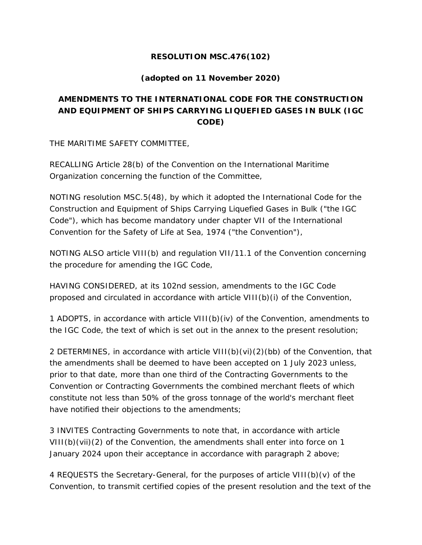### **RESOLUTION MSC.476(102)**

### **(adopted on 11 November 2020)**

# **AMENDMENTS TO THE INTERNATIONAL CODE FOR THE CONSTRUCTION AND EQUIPMENT OF SHIPS CARRYING LIQUEFIED GASES IN BULK (IGC CODE)**

THE MARITIME SAFETY COMMITTEE,

RECALLING Article 28(b) of the Convention on the International Maritime Organization concerning the function of the Committee,

NOTING resolution MSC.5(48), by which it adopted the International Code for the Construction and Equipment of Ships Carrying Liquefied Gases in Bulk ("the IGC Code"), which has become mandatory under chapter VII of the International Convention for the Safety of Life at Sea, 1974 ("the Convention"),

NOTING ALSO article VIII(b) and regulation VII/11.1 of the Convention concerning the procedure for amending the IGC Code,

HAVING CONSIDERED, at its 102nd session, amendments to the IGC Code proposed and circulated in accordance with article VIII(b)(i) of the Convention,

1 ADOPTS, in accordance with article VIII(b)(iv) of the Convention, amendments to the IGC Code, the text of which is set out in the annex to the present resolution;

2 DETERMINES, in accordance with article VIII(b)(vi)(2)(bb) of the Convention, that the amendments shall be deemed to have been accepted on 1 July 2023 unless, prior to that date, more than one third of the Contracting Governments to the Convention or Contracting Governments the combined merchant fleets of which constitute not less than 50% of the gross tonnage of the world's merchant fleet have notified their objections to the amendments;

3 INVITES Contracting Governments to note that, in accordance with article VIII(b)(vii)(2) of the Convention, the amendments shall enter into force on 1 January 2024 upon their acceptance in accordance with paragraph 2 above;

4 REQUESTS the Secretary-General, for the purposes of article VIII(b)(v) of the Convention, to transmit certified copies of the present resolution and the text of the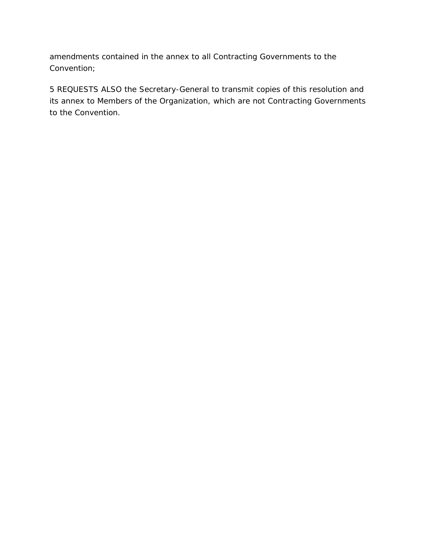amendments contained in the annex to all Contracting Governments to the Convention;

5 REQUESTS ALSO the Secretary-General to transmit copies of this resolution and its annex to Members of the Organization, which are not Contracting Governments to the Convention.